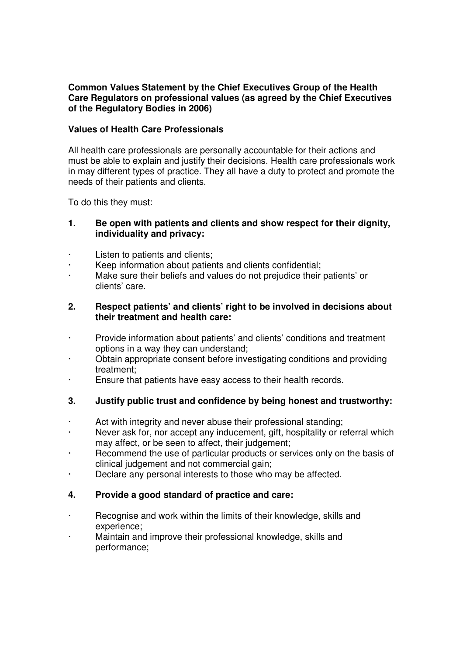## **Common Values Statement by the Chief Executives Group of the Health Care Regulators on professional values (as agreed by the Chief Executives of the Regulatory Bodies in 2006)**

## **Values of Health Care Professionals**

All health care professionals are personally accountable for their actions and must be able to explain and justify their decisions. Health care professionals work in may different types of practice. They all have a duty to protect and promote the needs of their patients and clients.

To do this they must:

## **1. Be open with patients and clients and show respect for their dignity, individuality and privacy:**

- Listen to patients and clients;
- Keep information about patients and clients confidential;
- Make sure their beliefs and values do not prejudice their patients' or clients' care.

### **2. Respect patients' and clients' right to be involved in decisions about their treatment and health care:**

- · Provide information about patients' and clients' conditions and treatment options in a way they can understand;
- Obtain appropriate consent before investigating conditions and providing treatment;
- · Ensure that patients have easy access to their health records.

# **3. Justify public trust and confidence by being honest and trustworthy:**

- Act with integrity and never abuse their professional standing;
- Never ask for, nor accept any inducement, gift, hospitality or referral which may affect, or be seen to affect, their judgement;
- Recommend the use of particular products or services only on the basis of clinical judgement and not commercial gain;
- · Declare any personal interests to those who may be affected.

## **4. Provide a good standard of practice and care:**

- Recognise and work within the limits of their knowledge, skills and experience;
- Maintain and improve their professional knowledge, skills and performance;